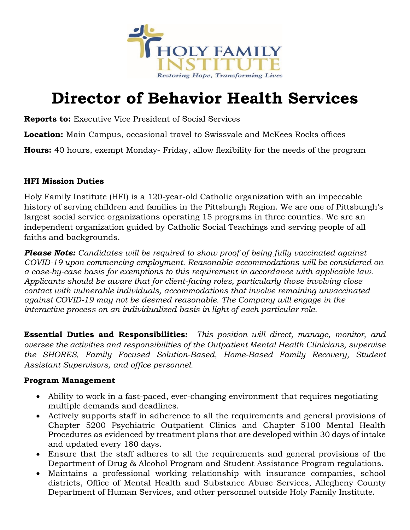

# **Director of Behavior Health Services**

**Reports to:** Executive Vice President of Social Services

**Location:** Main Campus, occasional travel to Swissvale and McKees Rocks offices

**Hours:** 40 hours, exempt Monday- Friday, allow flexibility for the needs of the program

## **HFI Mission Duties**

Holy Family Institute (HFI) is a 120-year-old Catholic organization with an impeccable history of serving children and families in the Pittsburgh Region. We are one of Pittsburgh's largest social service organizations operating 15 programs in three counties. We are an independent organization guided by Catholic Social Teachings and serving people of all faiths and backgrounds.

*Please Note: Candidates will be required to show proof of being fully vaccinated against COVID-19 upon commencing employment. Reasonable accommodations will be considered on a case-by-case basis for exemptions to this requirement in accordance with applicable law. Applicants should be aware that for client-facing roles, particularly those involving close contact with vulnerable individuals, accommodations that involve remaining unvaccinated against COVID-19 may not be deemed reasonable. The Company will engage in the interactive process on an individualized basis in light of each particular role.*

**Essential Duties and Responsibilities:** *This position will direct, manage, monitor, and oversee the activities and responsibilities of the Outpatient Mental Health Clinicians, supervise the SHORES, Family Focused Solution-Based, Home-Based Family Recovery, Student Assistant Supervisors, and office personnel.* 

## **Program Management**

- Ability to work in a fast-paced, ever-changing environment that requires negotiating multiple demands and deadlines.
- Actively supports staff in adherence to all the requirements and general provisions of Chapter 5200 Psychiatric Outpatient Clinics and Chapter 5100 Mental Health Procedures as evidenced by treatment plans that are developed within 30 days of intake and updated every 180 days.
- Ensure that the staff adheres to all the requirements and general provisions of the Department of Drug & Alcohol Program and Student Assistance Program regulations.
- Maintains a professional working relationship with insurance companies, school districts, Office of Mental Health and Substance Abuse Services, Allegheny County Department of Human Services, and other personnel outside Holy Family Institute.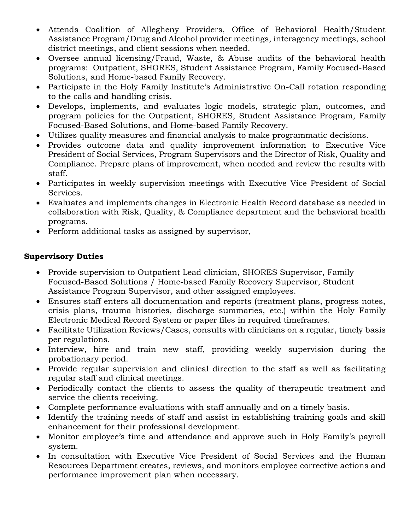- Attends Coalition of Allegheny Providers, Office of Behavioral Health/Student Assistance Program/Drug and Alcohol provider meetings, interagency meetings, school district meetings, and client sessions when needed.
- Oversee annual licensing/Fraud, Waste, & Abuse audits of the behavioral health programs: Outpatient, SHORES, Student Assistance Program, Family Focused-Based Solutions, and Home-based Family Recovery.
- Participate in the Holy Family Institute's Administrative On-Call rotation responding to the calls and handling crisis.
- Develops, implements, and evaluates logic models, strategic plan, outcomes, and program policies for the Outpatient, SHORES, Student Assistance Program, Family Focused-Based Solutions, and Home-based Family Recovery.
- Utilizes quality measures and financial analysis to make programmatic decisions.
- Provides outcome data and quality improvement information to Executive Vice President of Social Services, Program Supervisors and the Director of Risk, Quality and Compliance. Prepare plans of improvement, when needed and review the results with staff.
- Participates in weekly supervision meetings with Executive Vice President of Social Services.
- Evaluates and implements changes in Electronic Health Record database as needed in collaboration with Risk, Quality, & Compliance department and the behavioral health programs.
- Perform additional tasks as assigned by supervisor,

## **Supervisory Duties**

- Provide supervision to Outpatient Lead clinician, SHORES Supervisor, Family Focused-Based Solutions / Home-based Family Recovery Supervisor, Student Assistance Program Supervisor, and other assigned employees.
- Ensures staff enters all documentation and reports (treatment plans, progress notes, crisis plans, trauma histories, discharge summaries, etc.) within the Holy Family Electronic Medical Record System or paper files in required timeframes.
- Facilitate Utilization Reviews/Cases, consults with clinicians on a regular, timely basis per regulations.
- Interview, hire and train new staff, providing weekly supervision during the probationary period.
- Provide regular supervision and clinical direction to the staff as well as facilitating regular staff and clinical meetings.
- Periodically contact the clients to assess the quality of therapeutic treatment and service the clients receiving.
- Complete performance evaluations with staff annually and on a timely basis.
- Identify the training needs of staff and assist in establishing training goals and skill enhancement for their professional development.
- Monitor employee's time and attendance and approve such in Holy Family's payroll system.
- In consultation with Executive Vice President of Social Services and the Human Resources Department creates, reviews, and monitors employee corrective actions and performance improvement plan when necessary.